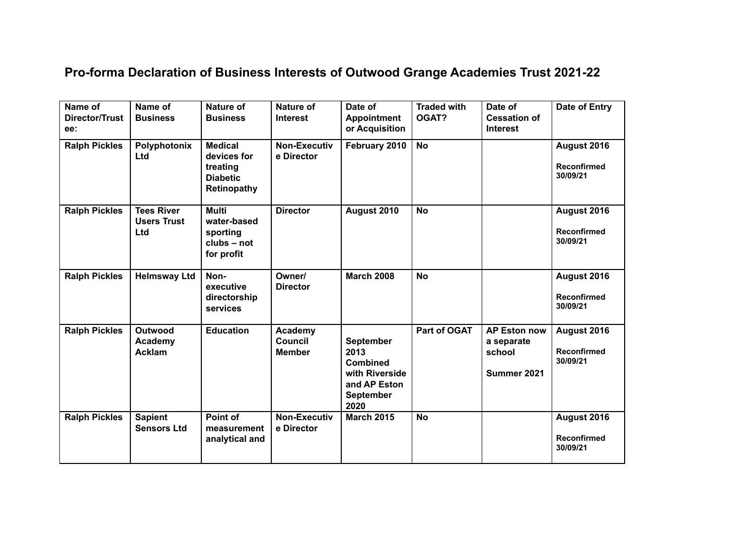## **Pro-forma Declaration of Business Interests of Outwood Grange Academies Trust 2021-22**

| Name of<br><b>Director/Trust</b><br>ee: | Name of<br><b>Business</b>                     | Nature of<br><b>Business</b>                                                       | Nature of<br><b>Interest</b>               | Date of<br><b>Appointment</b><br>or Acquisition                                                           | <b>Traded with</b><br>OGAT? | Date of<br><b>Cessation of</b><br><b>Interest</b>          | <b>Date of Entry</b>                          |
|-----------------------------------------|------------------------------------------------|------------------------------------------------------------------------------------|--------------------------------------------|-----------------------------------------------------------------------------------------------------------|-----------------------------|------------------------------------------------------------|-----------------------------------------------|
| <b>Ralph Pickles</b>                    | Polyphotonix<br>Ltd                            | <b>Medical</b><br>devices for<br>treating<br><b>Diabetic</b><br><b>Retinopathy</b> | Non-Executiv<br>e Director                 | February 2010                                                                                             | <b>No</b>                   |                                                            | August 2016<br><b>Reconfirmed</b><br>30/09/21 |
| <b>Ralph Pickles</b>                    | <b>Tees River</b><br><b>Users Trust</b><br>Ltd | <b>Multi</b><br>water-based<br>sporting<br>clubs - not<br>for profit               | <b>Director</b>                            | August 2010                                                                                               | <b>No</b>                   |                                                            | August 2016<br><b>Reconfirmed</b><br>30/09/21 |
| <b>Ralph Pickles</b>                    | <b>Helmsway Ltd</b>                            | Non-<br>executive<br>directorship<br>services                                      | Owner/<br><b>Director</b>                  | <b>March 2008</b>                                                                                         | <b>No</b>                   |                                                            | August 2016<br><b>Reconfirmed</b><br>30/09/21 |
| <b>Ralph Pickles</b>                    | Outwood<br>Academy<br><b>Acklam</b>            | <b>Education</b>                                                                   | Academy<br><b>Council</b><br><b>Member</b> | <b>September</b><br>2013<br><b>Combined</b><br>with Riverside<br>and AP Eston<br><b>September</b><br>2020 | Part of OGAT                | <b>AP Eston now</b><br>a separate<br>school<br>Summer 2021 | August 2016<br><b>Reconfirmed</b><br>30/09/21 |
| <b>Ralph Pickles</b>                    | <b>Sapient</b><br><b>Sensors Ltd</b>           | Point of<br>measurement<br>analytical and                                          | <b>Non-Executiv</b><br>e Director          | <b>March 2015</b>                                                                                         | <b>No</b>                   |                                                            | August 2016<br><b>Reconfirmed</b><br>30/09/21 |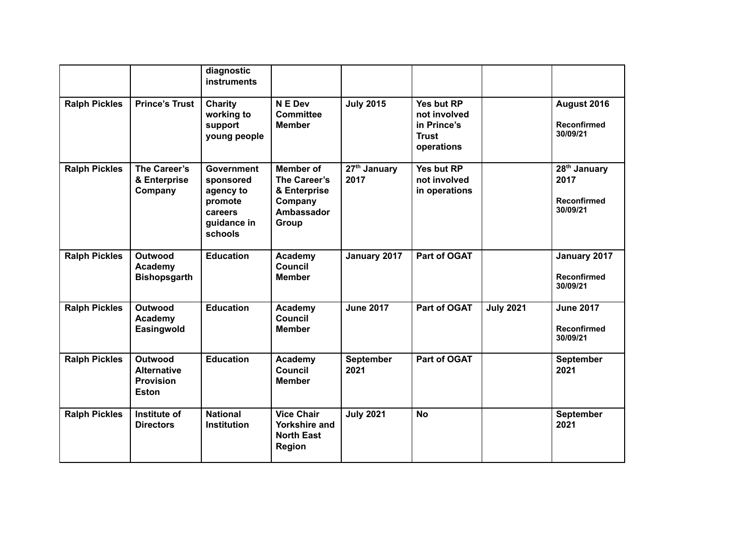|                      |                                                                          | diagnostic<br><b>instruments</b>                                                            |                                                                                           |                        |                                                                         |                  |                                                                    |
|----------------------|--------------------------------------------------------------------------|---------------------------------------------------------------------------------------------|-------------------------------------------------------------------------------------------|------------------------|-------------------------------------------------------------------------|------------------|--------------------------------------------------------------------|
| <b>Ralph Pickles</b> | <b>Prince's Trust</b>                                                    | <b>Charity</b><br>working to<br>support<br>young people                                     | N E Dev<br><b>Committee</b><br><b>Member</b>                                              | <b>July 2015</b>       | Yes but RP<br>not involved<br>in Prince's<br><b>Trust</b><br>operations |                  | August 2016<br><b>Reconfirmed</b><br>30/09/21                      |
| <b>Ralph Pickles</b> | The Career's<br>& Enterprise<br>Company                                  | <b>Government</b><br>sponsored<br>agency to<br>promote<br>careers<br>guidance in<br>schools | <b>Member of</b><br>The Career's<br>& Enterprise<br>Company<br><b>Ambassador</b><br>Group | $27th$ January<br>2017 | Yes but RP<br>not involved<br>in operations                             |                  | 28 <sup>th</sup> January<br>2017<br><b>Reconfirmed</b><br>30/09/21 |
| <b>Ralph Pickles</b> | <b>Outwood</b><br>Academy<br><b>Bishopsgarth</b>                         | <b>Education</b>                                                                            | Academy<br>Council<br><b>Member</b>                                                       | January 2017           | Part of OGAT                                                            |                  | January 2017<br><b>Reconfirmed</b><br>30/09/21                     |
| <b>Ralph Pickles</b> | <b>Outwood</b><br>Academy<br>Easingwold                                  | <b>Education</b>                                                                            | Academy<br>Council<br><b>Member</b>                                                       | <b>June 2017</b>       | Part of OGAT                                                            | <b>July 2021</b> | <b>June 2017</b><br><b>Reconfirmed</b><br>30/09/21                 |
| <b>Ralph Pickles</b> | <b>Outwood</b><br><b>Alternative</b><br><b>Provision</b><br><b>Eston</b> | <b>Education</b>                                                                            | Academy<br>Council<br><b>Member</b>                                                       | September<br>2021      | Part of OGAT                                                            |                  | September<br>2021                                                  |
| <b>Ralph Pickles</b> | Institute of<br><b>Directors</b>                                         | <b>National</b><br><b>Institution</b>                                                       | <b>Vice Chair</b><br><b>Yorkshire and</b><br><b>North East</b><br><b>Region</b>           | <b>July 2021</b>       | <b>No</b>                                                               |                  | September<br>2021                                                  |